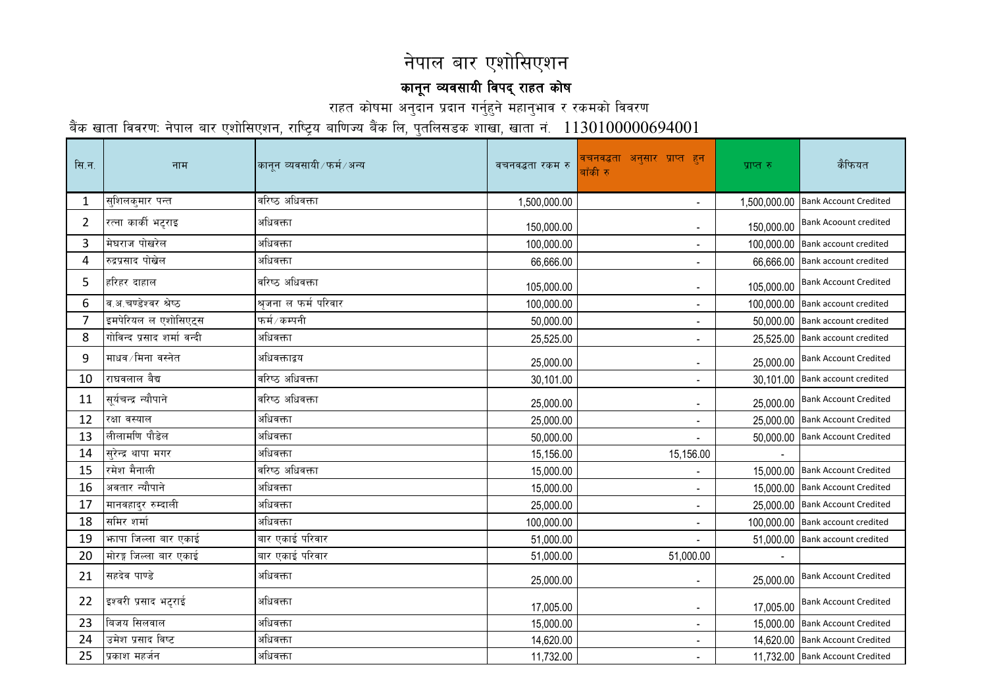## नेपाल बार एशोसिएशन

## कानून व्यवसायी विपद् राहत कोष

राहत कोषमा अनुदान प्रदान गर्नुहुने महानुभाव र रकमको विवरण

बैंक खाता विवरणः नेपाल बार एशोसिएशन, राष्ट्रिय बाणिज्य बैंक लि, पुतलि<u>सडक शाखा, खाता नं.  $1130100000694001$ </u>

| सि.न.          | नाम                        | कानुन व्यवसायी ∕ फर्म ⁄ अन्य | वचनवद्धता रकम रु | वचनवद्धता अनुसार प्राप्त हुन<br>बाँकी रु | प्राप्त रु | कैफियत                             |
|----------------|----------------------------|------------------------------|------------------|------------------------------------------|------------|------------------------------------|
| 1              | सुशिलकुमार पन्त            | वरिष्ठ अधिवक्ता              | 1,500,000.00     | $\blacksquare$                           |            | 1,500,000.00 Bank Account Credited |
| $\overline{2}$ | रत्ना कार्की भट्टराइ       | अधिवक्ता                     | 150,000.00       | $\blacksquare$                           | 150,000.00 | <b>Bank Acoount credited</b>       |
| 3              | मेघराज पोखरेल              | अधिवक्ता                     | 100,000.00       | $\blacksquare$                           |            | 100,000.00 Bank account credited   |
| 4              | रुद्रप्रसाद पोखेल          | अधिवक्ता                     | 66,666.00        | $\overline{\phantom{a}}$                 |            | 66,666.00 Bank account credited    |
| 5              | हरिहर दाहाल                | वरिष्ठ अधिवक्ता              | 105,000.00       | $\blacksquare$                           | 105,000.00 | <b>Bank Account Credited</b>       |
| 6              | व.अ.चण्डेश्वर श्रेष्ठ      | श्रुजना ल फर्म परिवार        | 100,000.00       | $\sim$                                   |            | 100,000.00 Bank account credited   |
| 7              | इमपेरियल ल एशोसिएट्स       | फर्म/कम्पनी                  | 50,000.00        | $\overline{\phantom{a}}$                 |            | 50,000.00 Bank account credited    |
| 8              | गोविन्द प्रसाद शर्मा वन्दी | अधिवक्ता                     | 25,525.00        | $\overline{\phantom{a}}$                 |            | 25,525.00 Bank account credited    |
| 9              | माधव ∕ मिना  वस्नेत        | अधिवक्ताद्वय                 | 25,000.00        | $\overline{\phantom{a}}$                 |            | 25,000.00 Bank Account Credited    |
| 10             | राघवलाल बैद्य              | वरिष्ठ अधिवक्ता              | 30,101.00        | $\sim$                                   |            | 30,101.00 Bank account credited    |
| 11             | सूर्यचन्द्र न्यौपाने       | वरिष्ठ अधिवक्ता              | 25,000.00        | $\overline{\phantom{a}}$                 |            | 25,000.00  Bank Account Credited   |
| 12             | रक्षा वस्याल               | अधिवक्ता                     | 25,000.00        | $\overline{\phantom{a}}$                 |            | 25,000.00 Bank Account Credited    |
| 13             | लीलामणि पौडेल              | अधिवक्ता                     | 50,000.00        | $\overline{\phantom{a}}$                 |            | 50,000.00 Bank Account Credited    |
| 14             | सुरेन्द्र थापा मगर         | अधिवक्ता                     | 15,156.00        | 15,156.00                                |            |                                    |
| 15             | रमेश मैनाली                | वरिष्ठ अधिवक्ता              | 15,000.00        |                                          |            | 15,000.00 Bank Account Credited    |
| 16             | अवतार न्यौपाने             | अधिवक्ता                     | 15,000.00        | $\sim$                                   |            | 15,000.00 Bank Account Credited    |
| 17             | मानवहादुर रुम्दाली         | अधिवक्ता                     | 25,000.00        | $\overline{\phantom{a}}$                 |            | 25,000.00 Bank Account Credited    |
| 18             | समिर शर्मा                 | अधिवक्ता                     | 100,000.00       | $\blacksquare$                           |            | 100,000.00 Bank account credited   |
| 19             | भगपा जिल्ला बार एकाई       | बार एकाई परिवार              | 51,000.00        | $\sim$                                   |            | 51,000.00 Bank account credited    |
| 20             | मोरङ्ग जिल्ला बार एकाई     | बार एकाई परिवार              | 51,000.00        | 51,000.00                                |            |                                    |
| 21             | सहदेव पाण्डे               | अधिवक्ता                     | 25,000.00        | $\sim$                                   | 25,000.00  | <b>Bank Account Credited</b>       |
| 22             | इश्वरी प्रसाद भटृराई       | अधिवक्ता                     | 17,005.00        | $\overline{\phantom{a}}$                 | 17,005.00  | <b>Bank Account Credited</b>       |
| 23             | बिजय सिलवाल                | अधिवक्ता                     | 15,000.00        | $\overline{\phantom{a}}$                 |            | 15,000.00 Bank Account Credited    |
| 24             | उमेश प्रसाद विष्ट          | अधिवक्ता                     | 14,620.00        | $\overline{\phantom{a}}$                 |            | 14,620.00 Bank Account Credited    |
| 25             | प्रकाश महर्जन              | अधिवक्ता                     | 11,732.00        | $\overline{\phantom{a}}$                 |            | 11,732.00 Bank Account Credited    |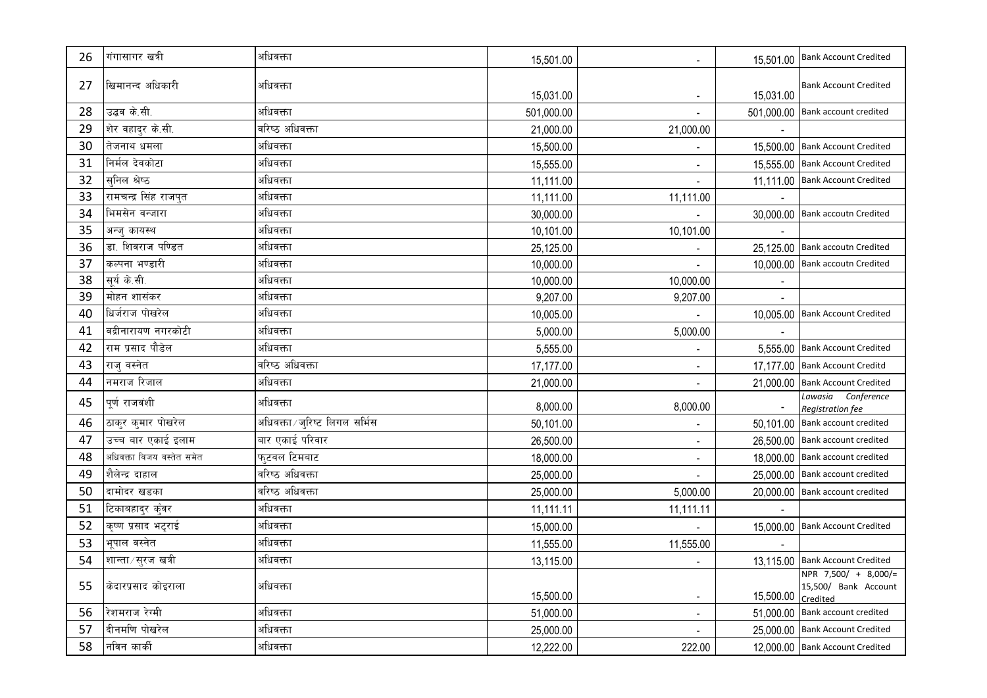| 26 | गंगासागर खत्री            | अधिवक्ता                       | 15,501.00  | $\sim$                    |            | 15,501.00   Bank Account Credited                        |
|----|---------------------------|--------------------------------|------------|---------------------------|------------|----------------------------------------------------------|
| 27 | खिमानन्द अधिकारी          | अधिवक्ता                       | 15,031.00  | $\blacksquare$            | 15,031.00  | <b>Bank Account Credited</b>                             |
| 28 | उद्धव के.सी.              | अधिवक्ता                       | 501,000.00 |                           | 501,000.00 | <b>Bank account credited</b>                             |
| 29 | शेर वहादर के.सी.          | वरिष्ठ अधिवक्ता                | 21,000.00  | 21,000.00                 |            |                                                          |
| 30 | तेजनाथ धमला               | अधिवक्ता                       | 15,500.00  | $\blacksquare$            |            | 15,500.00 Bank Account Credited                          |
| 31 | निर्मल देवकोटा            | अधिवक्ता                       | 15,555.00  | $\blacksquare$            |            | 15,555.00 Bank Account Credited                          |
| 32 | सनिल श्रेष्ठ              | अधिवक्ता                       | 11,111.00  | $\mathbb{Z}^{\mathbb{Z}}$ |            | 11,111.00 Bank Account Credited                          |
| 33 | रामचन्द्र सिंह राजपत      | अधिवक्ता                       | 11,111.00  | 11,111.00                 |            |                                                          |
| 34 | भिमसेन वन्जारा            | अधिवक्ता                       | 30,000.00  |                           |            | 30,000.00 Bank accoutn Credited                          |
| 35 | अन्ज् कायस्थ              | अधिवक्ता                       | 10,101.00  | 10,101.00                 |            |                                                          |
| 36 | डा. शिवराज पण्डित         | अधिवक्ता                       | 25,125.00  |                           |            | 25,125.00 Bank accoutn Credited                          |
| 37 | कल्पना भण्डारी            | अधिवक्ता                       | 10,000.00  |                           |            | 10,000.00 Bank accoutn Credited                          |
| 38 | सर्य के.सी.               | अधिवक्ता                       | 10,000.00  | 10,000.00                 |            |                                                          |
| 39 | मोहन शासंकर               | अधिवक्ता                       | 9,207.00   | 9,207.00                  |            |                                                          |
| 40 | धिर्जराज पोखरेल           | अधिवक्ता                       | 10,005.00  |                           |            | 10,005.00 Bank Account Credited                          |
| 41 | वद्रीनारायण नगरकोटी       | अधिवक्ता                       | 5,000.00   | 5,000.00                  |            |                                                          |
| 42 | राम प्रसाद पौडेल          | अधिवक्ता                       | 5,555.00   |                           |            | 5,555.00 Bank Account Credited                           |
| 43 | राज् वस्नेत               | वरिष्ठ अधिवक्ता                | 17,177.00  | $\blacksquare$            |            | 17,177.00 Bank Account Creditd                           |
| 44 | नमराज रिजाल               | अधिवक्ता                       | 21,000.00  | $\sim$                    | 21,000.00  | <b>Bank Account Credited</b>                             |
| 45 | पूर्ण राजवंशी             | अधिवक्ता                       | 8,000.00   | 8,000.00                  |            | Lawasia Conference<br>Registration fee                   |
| 46 | ठाकर कमार पोखरेल          | अधिवक्ता / जुरिष्ट लिगल सर्भिस | 50,101.00  | $\blacksquare$            |            | 50,101.00 Bank account credited                          |
| 47 | उच्च बार एकाई इलाम        | बार एकाई परिवार                | 26,500.00  | $\overline{\phantom{a}}$  |            | 26,500.00 Bank account credited                          |
| 48 | अधिवक्ता विजय वस्तेत समेत | फुटवल टिमबाट                   | 18,000.00  | $\blacksquare$            |            | 18,000.00 Bank account credited                          |
| 49 | शैलेन्द्र दाहाल           | वरिष्ठ अधिवक्ता                | 25,000.00  |                           |            | 25,000.00 Bank account credited                          |
| 50 | दामोदर खडका               | वरिष्ठ अधिवक्ता                | 25,000.00  | 5,000.00                  |            | 20,000.00 Bank account credited                          |
| 51 | टिकाबहादुर कुँवर          | अधिवक्ता                       | 11,111.11  | 11,111.11                 |            |                                                          |
| 52 | कृष्ण प्रसाद भट्टराई      | अधिवक्ता                       | 15,000.00  |                           |            | 15,000.00 Bank Account Credited                          |
| 53 | भूपाल वस्नेत              | अधिवक्ता                       | 11,555.00  | 11,555.00                 |            |                                                          |
| 54 | शान्ता ∕ सुरज खत्री       | अधिवक्ता                       | 13,115.00  |                           |            | 13,115.00 Bank Account Credited                          |
| 55 | केदारप्रसाद कोइराला       | अधिवक्ता                       | 15,500.00  | $\overline{\phantom{a}}$  | 15,500.00  | NPR 7,500/ + 8,000/=<br>15,500/ Bank Account<br>Credited |
| 56 | रेशमराज रेग्मी            | अधिवक्ता                       | 51,000.00  |                           |            | 51,000.00 Bank account credited                          |
| 57 | दीनमणि पोखरेल             | अधिवक्ता                       | 25,000.00  |                           |            | 25,000.00 Bank Account Credited                          |
| 58 | नविन कार्की               | अधिवक्ता                       | 12,222.00  | 222.00                    |            | 12,000.00 Bank Account Credited                          |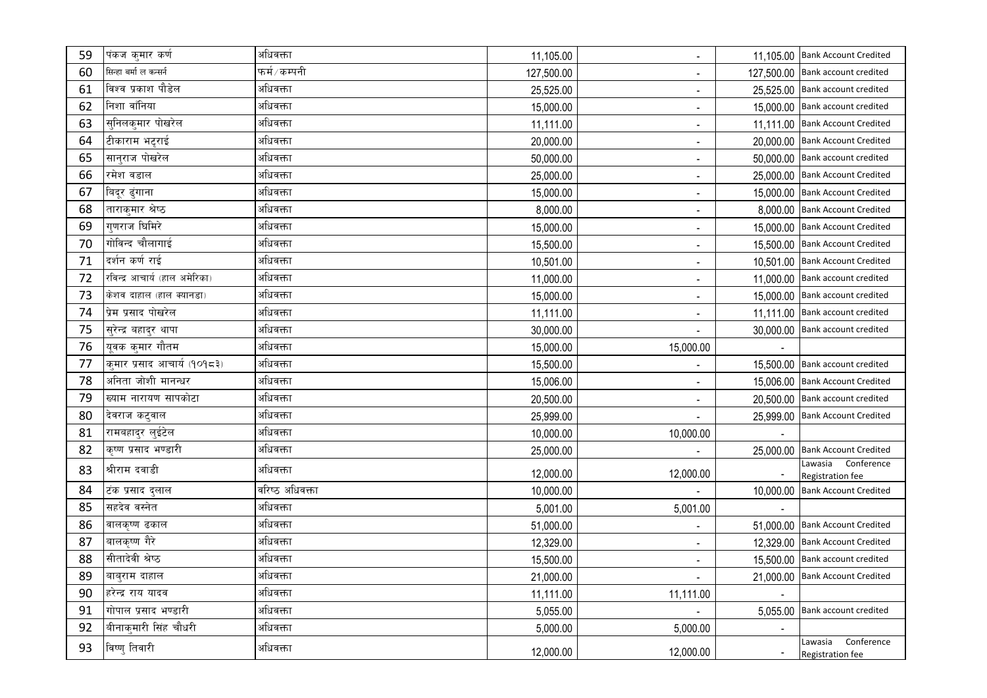| 59 | पंकज कुमार कर्ण               | अधिवक्ता        | 11,105.00  | $\blacksquare$           |          | 11,105.00 Bank Account Credited        |
|----|-------------------------------|-----------------|------------|--------------------------|----------|----------------------------------------|
| 60 | सिन्हा बर्मा ल कन्सर्न        | फर्म∕कम्पनी     | 127,500.00 | $\blacksquare$           |          | 127,500.00 Bank account credited       |
| 61 | विश्व प्रकाश पौडेल            | अधिवक्ता        | 25,525.00  | $\sim$                   |          | 25,525.00 Bank account credited        |
| 62 | निशा वाँनिया                  | अधिवक्ता        | 15,000.00  | $\sim$                   |          | 15,000.00 Bank account credited        |
| 63 | सुनिलकुमार पोखरेल             | अधिवक्ता        | 11,111.00  | ٠                        |          | 11,111.00 Bank Account Credited        |
| 64 | टीकाराम भट्टराई               | अधिवक्ता        | 20,000.00  | $\blacksquare$           |          | 20,000.00 Bank Account Credited        |
| 65 | सान्राज पोखरेल                | अधिवक्ता        | 50,000.00  | $\blacksquare$           |          | 50,000.00 Bank account credited        |
| 66 | रमेश वडाल                     | अधिवक्ता        | 25,000.00  | $\overline{\phantom{a}}$ |          | 25,000.00 Bank Account Credited        |
| 67 | बिदूर ढुंगाना                 | अधिवक्ता        | 15,000.00  | $\blacksquare$           |          | 15,000.00 Bank Account Credited        |
| 68 | ताराकुमार श्रेष्ठ             | अधिवक्ता        | 8,000.00   | $\blacksquare$           |          | 8,000.00 Bank Account Credited         |
| 69 | गुणराज घिमिरे                 | अधिवक्ता        | 15,000.00  | $\sim$                   |          | 15,000.00 Bank Account Credited        |
| 70 | गोविन्द चौलागाई               | अधिवक्ता        | 15,500.00  | $\blacksquare$           |          | 15,500.00 Bank Account Credited        |
| 71 | दर्शन कर्ण राई                | अधिवक्ता        | 10,501.00  | ٠                        |          | 10,501.00 Bank Account Credited        |
| 72 | रविन्द्र आचार्य (हाल अमेरिका) | अधिवक्ता        | 11,000.00  | $\overline{\phantom{a}}$ |          | 11,000.00 Bank account credited        |
| 73 | केशव दाहाल (हाल क्यानडा)      | अधिवक्ता        | 15,000.00  | $\overline{\phantom{a}}$ |          | 15,000.00 Bank account credited        |
| 74 | प्रेम प्रसाद पोखरेल           | अधिवक्ता        | 11,111.00  | $\overline{\phantom{a}}$ |          | 11,111.00 Bank account credited        |
| 75 | सुरेन्द्र बहादुर थापा         | अधिवक्ता        | 30,000.00  | $\overline{\phantom{a}}$ |          | 30,000.00 Bank account credited        |
| 76 | यूवक कुमार गौतम               | अधिवक्ता        | 15,000.00  | 15,000.00                |          |                                        |
| 77 | कुमार प्रसाद आचार्य (१०१८३)   | अधिवक्ता        | 15,500.00  | $\overline{\phantom{a}}$ |          | 15,500.00 Bank account credited        |
| 78 | अनिता जोशी मानन्धर            | अधिवक्ता        | 15,006.00  | $\sim$                   |          | 15,006.00 Bank Account Credited        |
| 79 | ख्याम नारायण सापकोटा          | अधिवक्ता        | 20,500.00  | $\blacksquare$           |          | 20,500.00 Bank account credited        |
| 80 | देवराज कटुवाल                 | अधिवक्ता        | 25,999.00  |                          |          | 25,999.00 Bank Account Credited        |
| 81 | रामबहादुर लुईटेल              | अधिवक्ता        | 10,000.00  | 10,000.00                |          |                                        |
| 82 | कृष्ण प्रसाद भण्डारी          | अधिवक्ता        | 25,000.00  | $\blacksquare$           |          | 25,000.00 Bank Account Credited        |
| 83 | श्रीराम दवाडी                 | अधिवक्ता        | 12,000.00  | 12,000.00                |          | Lawasia Conference<br>Registration fee |
| 84 | टंक प्रसाद दुलाल              | वरिष्ठ अधिवक्ता | 10,000.00  |                          |          | 10,000.00 Bank Account Credited        |
| 85 | सहदेव वस्नेत                  | अधिवक्ता        | 5,001.00   | 5,001.00                 |          |                                        |
| 86 | वालकृष्ण ढकाल                 | अधिवक्ता        | 51,000.00  | $\overline{\phantom{a}}$ |          | 51,000.00 Bank Account Credited        |
| 87 | बालकृष्ण गैरे                 | अधिवक्ता        | 12,329.00  | $\overline{\phantom{0}}$ |          | 12,329.00 Bank Account Credited        |
| 88 | सीतादेवी श्रेष्ठ              | अधिवक्ता        | 15,500.00  | $\overline{\phantom{a}}$ |          | 15,500.00 Bank account credited        |
| 89 | बाब्राम दाहाल                 | अधिवक्ता        | 21,000.00  | $\blacksquare$           |          | 21,000.00 Bank Account Credited        |
| 90 | हरेन्द्र राय यादव             | अधिवक्ता        | 11,111.00  | 11,111.00                |          |                                        |
| 91 | गोपाल प्रसाद भण्डारी          | अधिवक्ता        | 5,055.00   |                          | 5,055.00 | Bank account credited                  |
| 92 | बीनाकुमारी सिंह चौधरी         | अधिवक्ता        | 5,000.00   | 5,000.00                 |          |                                        |
| 93 | विष्णु तिवारी                 | अधिवक्ता        | 12,000.00  | 12,000.00                |          | Lawasia Conference<br>Registration fee |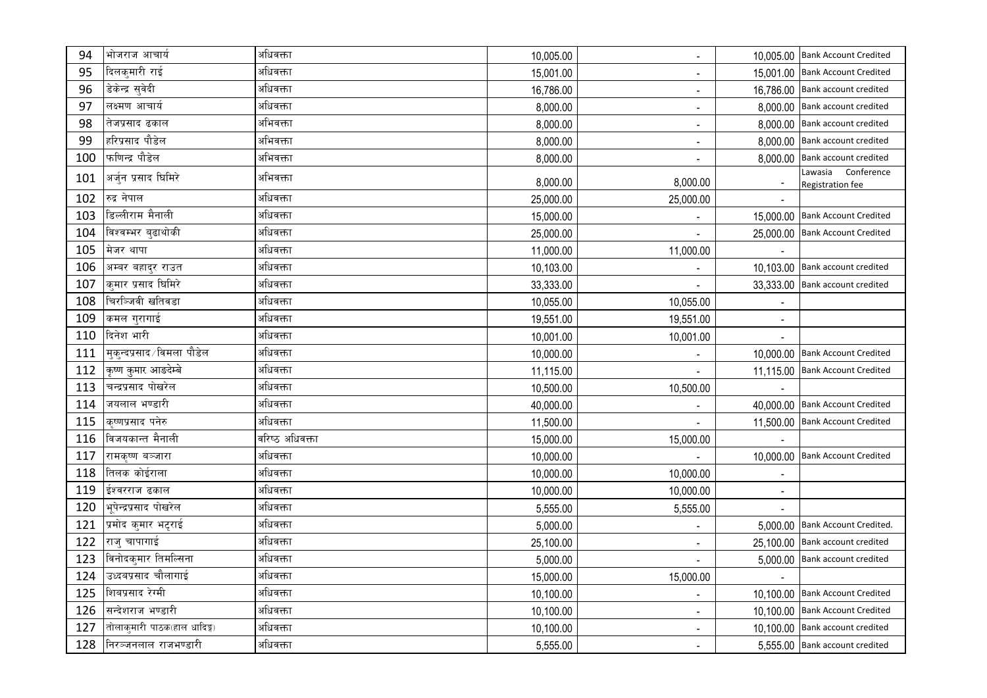| 94  | भोजराज आचार्य                | अधिवक्ता        | 10,005.00 | $\blacksquare$           |          | 10,005.00 Bank Account Credited               |
|-----|------------------------------|-----------------|-----------|--------------------------|----------|-----------------------------------------------|
| 95  | दिलक्मारी राई                | अधिवक्ता        | 15,001.00 | $\overline{\phantom{a}}$ |          | 15,001.00 Bank Account Credited               |
| 96  | डेकेन्द्र सुवेदी             | अधिवक्ता        | 16,786.00 | $\blacksquare$           |          | 16,786.00 Bank account credited               |
| 97  | लक्ष्मण आचार्य               | अधिवक्ता        | 8,000.00  | $\blacksquare$           |          | 8,000.00 Bank account credited                |
| 98  | तेजप्रसाद ढकाल               | अभिवक्ता        | 8,000.00  | $\sim$                   |          | 8,000.00 Bank account credited                |
| 99  | हरिप्रसाद पौडेल              | अभिवक्ता        | 8,000.00  |                          |          | 8,000.00 Bank account credited                |
| 100 | फणिन्द्र पौडेल               | अभिवक्ता        | 8,000.00  | $\blacksquare$           | 8,000.00 | Bank account credited                         |
| 101 | अर्जुन प्रसाद धिमिरे         | अभिवक्ता        | 8,000.00  | 8,000.00                 |          | Lawasia Conference<br><b>Registration fee</b> |
| 102 | रुद्र नेपाल                  | अधिवक्ता        | 25,000.00 | 25,000.00                |          |                                               |
| 103 | डिल्लीराम मैनाली             | अधिवक्ता        | 15,000.00 |                          |          | 15,000.00 Bank Account Credited               |
| 104 | विश्वम्भर बढाथोकी            | अधिवक्ता        | 25,000.00 |                          |          | 25,000.00 Bank Account Credited               |
| 105 | मेजर थापा                    | अधिवक्ता        | 11,000.00 | 11,000.00                |          |                                               |
| 106 | अम्बर बहादुर राउत            | अधिवक्ता        | 10,103.00 | $\overline{\phantom{a}}$ |          | 10,103.00 Bank account credited               |
| 107 | कुमार प्रसाद घिमिरे          | अधिवक्ता        | 33,333.00 | $\overline{\phantom{a}}$ |          | 33,333.00 Bank account credited               |
| 108 | चिरञ्जिवी खतिवडा             | अधिवक्ता        | 10,055.00 | 10,055.00                |          |                                               |
| 109 | कमल गुरागाई                  | अधिवक्ता        | 19,551.00 | 19,551.00                |          |                                               |
| 110 | दिनेश भारी                   | अधिवक्ता        | 10,001.00 | 10,001.00                |          |                                               |
| 111 | मुक्न्दप्रसाद ∕विमला पौडेल   | अधिवक्ता        | 10,000.00 |                          |          | 10,000.00 Bank Account Credited               |
| 112 | कृष्ण कुमार आङदेम्बे         | अधिवक्ता        | 11,115.00 | $\blacksquare$           |          | 11,115.00 Bank Account Credited               |
| 113 | चन्द्रप्रसाद पोखरेल          | अधिवक्ता        | 10,500.00 | 10,500.00                |          |                                               |
| 114 | जयलाल भण्डारी                | अधिवक्ता        | 40,000.00 |                          |          | 40,000.00 Bank Account Credited               |
| 115 | कृष्णप्रसाद पनेरु            | अधिवक्ता        | 11,500.00 | $\overline{\phantom{a}}$ |          | 11,500.00 Bank Account Credited               |
| 116 | विजयकान्त मैनाली             | वरिष्ठ अधिवक्ता | 15,000.00 | 15,000.00                |          |                                               |
| 117 | रामकृष्ण बञ्जारा             | अधिवक्ता        | 10,000.00 |                          |          | 10,000.00 Bank Account Credited               |
| 118 | तिलक कोईराला                 | अधिवक्ता        | 10,000.00 | 10,000.00                |          |                                               |
| 119 | ईश्वरराज ढकाल                | अधिवक्ता        | 10,000.00 | 10,000.00                |          |                                               |
| 120 | भूपेन्द्रप्रसाद पोखरेल       | अधिवक्ता        | 5,555.00  | 5,555.00                 |          |                                               |
| 121 | प्रमोद कुमार भटृराई          | अधिवक्ता        | 5,000.00  | $\blacksquare$           |          | 5,000.00 Bank Account Credited.               |
| 122 | राजु चापागाई                 | अधिवक्ता        | 25,100.00 | $\blacksquare$           |          | 25,100.00 Bank account credited               |
| 123 | विनोदकुमार तिमल्सिना         | अधिवक्ता        | 5,000.00  |                          |          | 5,000.00 Bank account credited                |
| 124 | उध्दबप्रसाद चौलागाई          | अधिवक्ता        | 15,000.00 | 15,000.00                |          |                                               |
| 125 | शिबप्रसाद रेग्मी             | अधिवक्ता        | 10,100.00 | $\blacksquare$           |          | 10,100.00 Bank Account Credited               |
| 126 | सन्देशराज भण्डारी            | अधिवक्ता        | 10,100.00 | $\blacksquare$           |          | 10,100.00 Bank Account Credited               |
| 127 | तोलाकुमारी पाठक(हाल धादिङ्ग) | अधिवक्ता        | 10,100.00 | $\blacksquare$           |          | 10,100.00 Bank account credited               |
| 128 | ∣निरञ्जनलाल राजभण्डारी       | अधिवक्ता        | 5,555.00  | $\sim$                   |          | 5,555.00 Bank account credited                |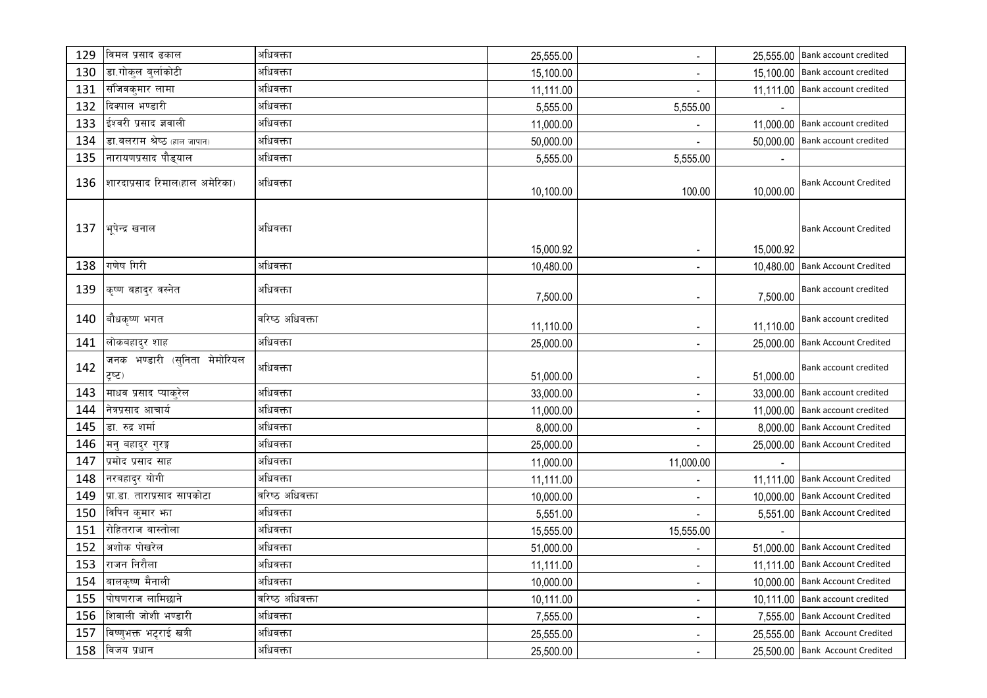| 129 | विमल प्रसाद ढकाल                        | अधिवक्ता        | 25,555.00 | $\blacksquare$               |           | 25,555.00 Bank account credited |
|-----|-----------------------------------------|-----------------|-----------|------------------------------|-----------|---------------------------------|
| 130 | डा.गोकुल बुर्लाकोटी                     | अधिवक्ता        | 15,100.00 | $\overline{\phantom{a}}$     |           | 15,100.00 Bank account credited |
| 131 | संजिवकुमार लामा                         | अधिवक्ता        | 11,111.00 | $\blacksquare$               |           | 11,111.00 Bank account credited |
| 132 | दिक्पाल भण्डारी                         | अधिवक्ता        | 5,555.00  | 5,555.00                     |           |                                 |
| 133 | ईश्वरी प्रसाद ज्ञवाली                   | अधिवक्ता        | 11,000.00 |                              |           | 11,000.00 Bank account credited |
| 134 | डा.बलराम श्रेष्ठ (हाल जापान)            | अधिवक्ता        | 50,000.00 |                              |           | 50,000.00 Bank account credited |
| 135 | नारायणप्रसाद पौड्याल                    | अधिवक्ता        | 5,555.00  | 5,555.00                     |           |                                 |
| 136 | शारदाप्रसाद रिमाल(हाल अमेरिका)          | अधिवक्ता        | 10,100.00 | 100.00                       | 10,000.00 | <b>Bank Account Credited</b>    |
| 137 | भूपेन्द्र खनाल                          | अधिवक्ता        | 15,000.92 | $\overline{\phantom{a}}$     | 15,000.92 | <b>Bank Account Credited</b>    |
| 138 | गणेष गिरी                               | अधिवक्ता        | 10,480.00 | $\overline{\phantom{a}}$     |           | 10,480.00 Bank Account Credited |
| 139 | कृष्ण बहादुर वस्नेत                     | अधिवक्ता        | 7,500.00  | $\overline{\phantom{a}}$     | 7,500.00  | Bank account credited           |
| 140 | बौधकृष्ण भगत                            | वरिष्ठ अधिवक्ता | 11,110.00 | $\overline{\phantom{a}}$     | 11,110.00 | Bank account credited           |
| 141 | लोकबहादुर शाह                           | अधिवक्ता        | 25,000.00 | $\overline{\phantom{a}}$     |           | 25,000.00 Bank Account Credited |
| 142 | जनक भण्डारी (सुनिता मेमोरियल<br>ट्रष्ट) | अधिवक्ता        | 51,000.00 | $\blacksquare$               | 51,000.00 | Bank account credited           |
| 143 | माधव प्रसाद प्याकुरेल                   | अधिवक्ता        | 33,000.00 | $\overline{\phantom{a}}$     |           | 33,000.00 Bank account credited |
| 144 | नेत्रप्रसाद आचार्य                      | अधिवक्ता        | 11,000.00 | $\blacksquare$               |           | 11,000.00 Bank account credited |
| 145 | डा. रुद्र शर्मा                         | अधिवक्ता        | 8,000.00  | $\blacksquare$               |           | 8,000.00 Bank Account Credited  |
| 146 | मनु बहादुर गुरङ्ग                       | अधिवक्ता        | 25,000.00 | $\blacksquare$               |           | 25,000.00 Bank Account Credited |
| 147 | प्रमोद प्रसाद साह                       | अधिवक्ता        | 11,000.00 | 11,000.00                    |           |                                 |
| 148 | नरबहादुर योगी                           | अधिवक्ता        | 11,111.00 | $\overline{\phantom{a}}$     |           | 11,111.00 Bank Account Credited |
| 149 | प्रा.डा. ताराप्रसाद सापकोटा             | वरिष्ठ अधिवक्ता | 10,000.00 | $\overline{\phantom{a}}$     |           | 10,000.00 Bank Account Credited |
| 150 | विपिन कुमार भा                          | अधिवक्ता        | 5,551.00  |                              |           | 5,551.00 Bank Account Credited  |
| 151 | रोहितराज बास्तोला                       | अधिवक्ता        | 15,555.00 | 15,555.00                    |           |                                 |
| 152 | अशोक पोखरेल                             | अधिवक्ता        | 51,000.00 |                              |           | 51,000.00 Bank Account Credited |
| 153 | राजन निरौला                             | अधिवक्ता        | 11,111.00 | $\blacksquare$               |           | 11,111.00 Bank Account Credited |
| 154 | बालकृष्ण मैनाली                         | अधिवक्ता        | 10,000.00 | $\blacksquare$               |           | 10,000.00 Bank Account Credited |
| 155 | पोषणराज लामिछाने                        | वरिष्ठ अधिवक्ता | 10,111.00 | $\overline{\phantom{a}}$     |           | 10,111.00 Bank account credited |
| 156 | शिवाली जोशी भण्डारी                     | अधिवक्ता        | 7,555.00  | $\overline{\phantom{a}}$     |           | 7,555.00 Bank Account Credited  |
| 157 | विष्णुभक्त भट्टराई खत्री                | अधिवक्ता        | 25,555.00 | ۰                            |           | 25,555.00 Bank Account Credited |
| 158 | विजय प्रधान                             | अधिवक्ता        | 25,500.00 | $\qquad \qquad \blacksquare$ |           | 25,500.00 Bank Account Credited |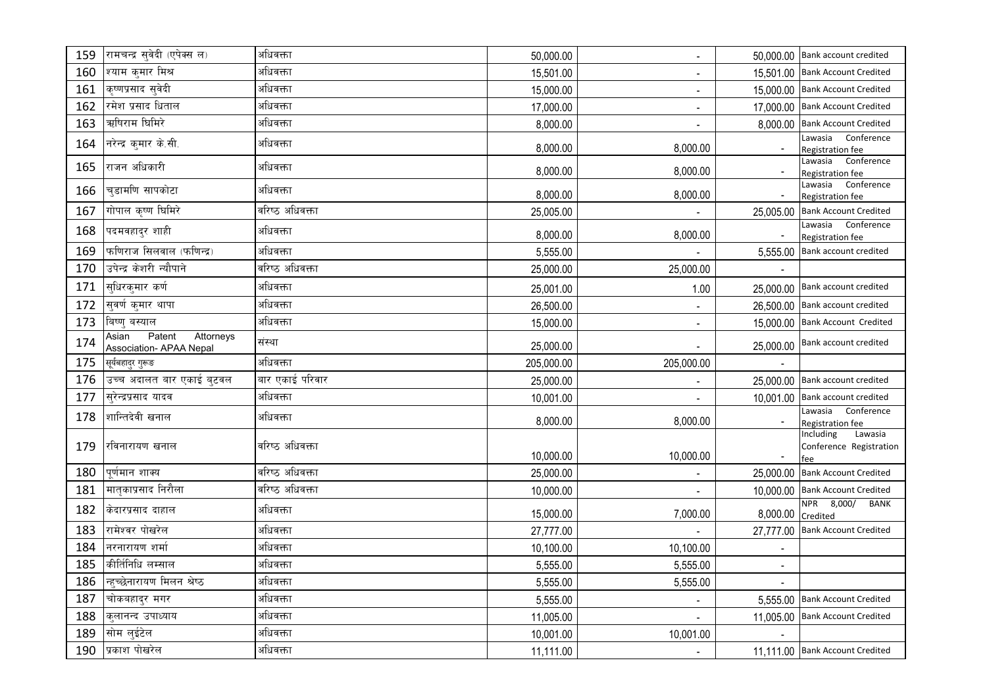| 159        | रामचन्द्र सुवेदी (एपेक्स ल)                                    | अधिवक्ता                      | 50,000.00  | $\blacksquare$              |                          | 50,000.00 Bank account credited                        |
|------------|----------------------------------------------------------------|-------------------------------|------------|-----------------------------|--------------------------|--------------------------------------------------------|
| 160        | श्याम क्मार मिश्र                                              | अधिवक्ता                      | 15,501.00  | $\blacksquare$              |                          | 15,501.00 Bank Account Credited                        |
| 161        | कृष्णप्रसाद स्वेदी                                             | अधिवक्ता                      | 15,000.00  | $\blacksquare$              |                          | 15,000.00 Bank Account Credited                        |
| 162        | रमेश प्रसाद धिताल                                              | अधिवक्ता                      | 17,000.00  | $\sim$                      |                          | 17,000.00 Bank Account Credited                        |
| 163        | ऋषिराम घिमिरे                                                  | अधिवक्ता                      | 8,000.00   | $\blacksquare$              | 8,000.00                 | <b>Bank Account Credited</b>                           |
| 164        | नरेन्द्र कुमार के.सी.                                          | अधिवक्ता                      | 8,000.00   | 8,000.00                    |                          | Conference<br>Lawasia<br>Registration fee              |
| 165        | राजन अधिकारी                                                   | अधिवक्ता                      | 8,000.00   | 8,000.00                    |                          | Conference<br>Lawasia<br>Registration fee              |
| 166        | चडामणि सापकोटा                                                 | अधिवक्ता                      | 8,000.00   | 8,000.00                    |                          | Lawasia Conference<br>Registration fee                 |
| 167        | गोपाल कृष्ण धिमिरे                                             | वरिष्ठ अधिवक्ता               | 25,005.00  |                             | 25,005.00                | <b>Bank Account Credited</b>                           |
| 168        | पदमवहादुर शाही                                                 | अधिवक्ता                      | 8,000.00   | 8,000.00                    |                          | Lawasia Conference<br>Registration fee                 |
| 169        | फणिराज सिलवाल (फणिन्द्र)                                       | अधिवक्ता                      | 5,555.00   |                             | 5,555.00                 | Bank account credited                                  |
| 170        | उपेन्द्र केशरी न्यौपाने                                        | वरिष्ठ अधिवक्त <mark>ा</mark> | 25,000.00  | 25,000.00                   |                          |                                                        |
| 171        | स्धिरक्मार कर्ण                                                | अधिवक्ता                      | 25,001.00  | 1.00                        |                          | 25,000.00 Bank account credited                        |
| 172        | सुवर्ण कुमार थापा                                              | अधिवक्ता                      | 26,500.00  |                             |                          | 26,500.00 Bank account credited                        |
| 173        | बिष्ण् बस्याल                                                  | अधिवक्ता                      | 15,000.00  | $\mathcal{L}_{\mathcal{A}}$ |                          | 15,000.00 Bank Account Credited                        |
| 174        | Patent<br>Attorneys<br>Asian<br><b>Association- APAA Nepal</b> | संस्था                        | 25,000.00  | $\blacksquare$              | 25,000.00                | Bank account credited                                  |
| 175        | सूर्यबहादुर गुरूङ                                              | अधिवक्ता                      | 205,000.00 | 205,000.00                  |                          |                                                        |
|            |                                                                |                               |            |                             |                          |                                                        |
| 176        | उच्च अदालत बार एकाई बुटवल                                      | बार एकाई परिवार               | 25,000.00  |                             |                          | 25,000.00 Bank account credited                        |
| 177        | सुरेन्द्रप्रसाद यादव                                           | अधिवक्ता                      | 10,001.00  |                             |                          | 10,001.00 Bank account credited                        |
| 178        | शान्तिदेवी खनाल                                                | अधिवक्ता                      | 8,000.00   | 8,000.00                    |                          | Lawasia Conference<br>Registration fee                 |
| 179        | रविनारायण खनाल                                                 | वरिष्ठ अधिवक्ता               | 10,000.00  | 10,000.00                   |                          | Including<br>Lawasia<br>Conference Registration<br>fee |
| 180        | पूर्णमान शाक्य                                                 | वरिष्ठ अधिवक्ता               | 25,000.00  |                             |                          | 25,000.00 Bank Account Credited                        |
| 181        | मातृकाप्रसाद निरौला                                            | वरिष्ठ अधिवक्ता               | 10,000.00  |                             |                          | 10,000.00 Bank Account Credited                        |
| 182        | केदारप्रसाद दाहाल                                              | अधिवक्ता                      | 15,000.00  | 7,000.00                    | 8,000.00                 | NPR 8,000/ BANK<br>Credited                            |
| 183        | रामेश्वर पोखरेल                                                | अधिवक्ता                      | 27,777.00  |                             | 27,777.00                | <b>Bank Account Credited</b>                           |
| 184        | नरनारायण शर्मा                                                 | अधिवक्ता                      | 10,100.00  | 10,100.00                   |                          |                                                        |
| 185        | कीर्तिनिधि लम्साल                                              | अधिवक्ता                      | 5,555.00   | 5,555.00                    | $\overline{\phantom{a}}$ |                                                        |
| 186        | न्हुच्छेनारायण मिलन श्रेष्ठ                                    | अधिवक्ता                      | 5,555.00   | 5,555.00                    |                          |                                                        |
| 187        | चोकबहादुर मगर                                                  | अधिवक्ता                      | 5,555.00   | $\overline{\phantom{a}}$    |                          | 5,555.00 Bank Account Credited                         |
| 188        | कुलानन्द उपाध्याय                                              | अधिवक्ता                      | 11,005.00  | $\blacksquare$              |                          | 11,005.00 Bank Account Credited                        |
| 189<br>190 | सोम लुईटेल<br>प्रकाश पोखरेल                                    | अधिवक्ता<br>अधिवक्ता          | 10,001.00  | 10,001.00                   |                          | 11,111.00 Bank Account Credited                        |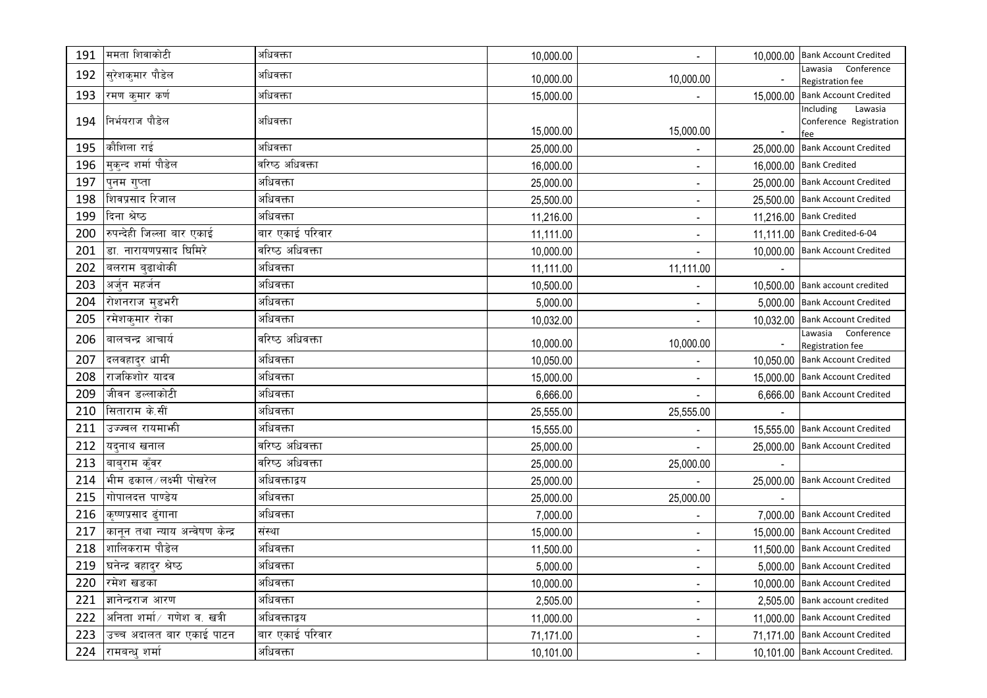| 191 | ममता शिवाकोटी                   | अधिवक्ता        | 10,000.00 | $\blacksquare$           | 10,000.00 Bank Account Credited        |
|-----|---------------------------------|-----------------|-----------|--------------------------|----------------------------------------|
| 192 | सुरेशकुमार पौडेल                | अधिवक्ता        | 10,000.00 | 10,000.00                | Lawasia Conference<br>Registration fee |
| 193 | रमण कुमार कर्ण                  | अधिवक्ता        | 15,000.00 |                          | 15,000.00 Bank Account Credited        |
|     |                                 |                 |           |                          | Including<br>Lawasia                   |
| 194 | निर्भयराज पौडेल                 | अधिवक्ता        | 15,000.00 | 15,000.00                | Conference Registration                |
| 195 | कौशिला राई                      | अधिवक्ता        | 25,000.00 | $\overline{\phantom{a}}$ | fee<br>25,000.00 Bank Account Credited |
| 196 | मुकुन्द शर्मा पौडेल             | वरिष्ठ अधिवक्ता | 16,000.00 | $\overline{\phantom{a}}$ | 16,000.00 Bank Credited                |
| 197 | पुनम गुप्ता                     | अधिवक्ता        | 25,000.00 | $\sim$                   | 25,000.00 Bank Account Credited        |
| 198 | शिवप्रसाद रिजाल                 | अधिवक्ता        | 25,500.00 | $\sim$                   | 25,500.00 Bank Account Credited        |
| 199 | दिना श्रेष्ठ                    | अधिवक्ता        | 11,216.00 | $\overline{\phantom{a}}$ | 11,216.00 Bank Credited                |
| 200 | रुपन्देही जिल्ला बार एकाई       | बार एकाई परिवार | 11,111.00 | $\overline{\phantom{a}}$ | 11,111.00 Bank Credited-6-04           |
| 201 | डा. नारायणप्रसाद घिमिरे         | वरिष्ठ अधिवक्ता | 10,000.00 | $\blacksquare$           | 10,000.00 Bank Account Credited        |
| 202 | बलराम बढाथोकी                   | अधिवक्ता        | 11,111.00 | 11,111.00                |                                        |
| 203 | अर्जुन महर्जन                   | अधिवक्ता        | 10,500.00 | $\overline{\phantom{a}}$ | 10,500.00 Bank account credited        |
| 204 | रोशनराज मुडभरी                  | अधिवक्ता        | 5,000.00  | $\blacksquare$           | 5,000.00 Bank Account Credited         |
| 205 | रमेशकुमार रोका                  | अधिवक्ता        | 10,032.00 | $\blacksquare$           | 10,032.00 Bank Account Credited        |
| 206 | बालचन्द्र आचार्य                | वरिष्ठ अधिवक्ता | 10,000.00 | 10,000.00                | Lawasia Conference<br>Registration fee |
| 207 | दलवहादुर धामी                   | अधिवक्ता        | 10,050.00 |                          | 10,050.00 Bank Account Credited        |
| 208 | राजकिशोर यादव                   | अधिवक्ता        | 15,000.00 | $\blacksquare$           | 15,000.00 Bank Account Credited        |
| 209 | जीवन डल्लाकोटी                  | अधिवक्ता        | 6,666.00  | $\blacksquare$           | 6,666.00 Bank Account Credited         |
| 210 | सिताराम के.सीं                  | अधिवक्ता        | 25,555.00 | 25,555.00                |                                        |
| 211 | उज्ज्वल रायमार्फा               | अधिवक्ता        | 15,555.00 | $\blacksquare$           | 15,555.00 Bank Account Credited        |
| 212 | यद्नाथ खनाल                     | वरिष्ठ अधिवक्ता | 25,000.00 |                          | 25,000.00 Bank Account Credited        |
| 213 | बाब्राम क्ँवर                   | वरिष्ठ अधिवक्ता | 25,000.00 | 25,000.00                |                                        |
| 214 | भीम ढकाल / लक्ष्मी पोखरेल       | अधिवक्ताद्वय    | 25,000.00 |                          | 25,000.00 Bank Account Credited        |
| 215 | गोपालदत्त पाण्डेय               | अधिवक्ता        | 25,000.00 | 25,000.00                |                                        |
| 216 | कृष्णप्रसाद दंगाना              | अधिवक्ता        | 7,000.00  |                          | 7,000.00 Bank Account Credited         |
| 217 | कानून तथा न्याय अन्वेषण केन्द्र | संस्था          | 15,000.00 | $\overline{\phantom{a}}$ | 15,000.00 Bank Account Credited        |
| 218 | शालिकराम पौडेल                  | अधिवक्ता        | 11,500.00 | $\blacksquare$           | 11,500.00 Bank Account Credited        |
|     | 219  घनेन्द्र वहादुर श्रेष्ठ    | अधिवक्ता        | 5,000.00  | $\overline{\phantom{a}}$ | 5,000.00 Bank Account Credited         |
| 220 | ∣रमेश खडका                      | अधिवक्ता        | 10,000.00 | $\overline{\phantom{a}}$ | 10,000.00 Bank Account Credited        |
| 221 | ज्ञानेन्द्रराज आरण              | अधिवक्ता        | 2,505.00  | $\overline{\phantom{a}}$ | 2,505.00 Bank account credited         |
| 222 | अनिता शर्मा ∕ गणेश व. खत्री     | अधिवक्ताद्वय    | 11,000.00 | $\blacksquare$           | 11,000.00 Bank Account Credited        |
| 223 | उच्च अदालत बार एकाई पाटन        | बार एकाई परिवार | 71,171.00 | $\sim$                   | 71,171.00 Bank Account Credited        |
| 224 | रामबन्धु शर्मा                  | अधिवक्ता        | 10,101.00 | $\sim$                   | 10,101.00 Bank Account Credited.       |